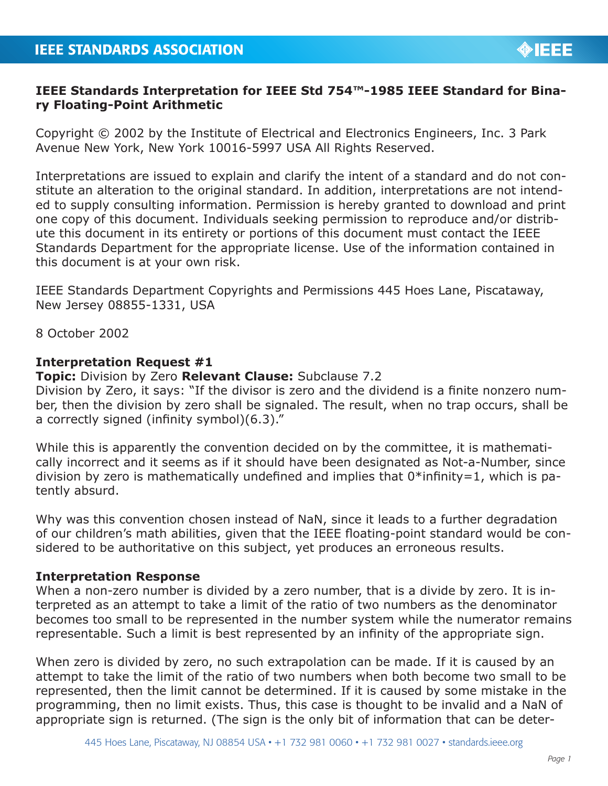## **IEEE Standards Interpretation for IEEE Std 754™-1985 IEEE Standard for Binary Floating-Point Arithmetic**

Copyright © 2002 by the Institute of Electrical and Electronics Engineers, Inc. 3 Park Avenue New York, New York 10016-5997 USA All Rights Reserved.

Interpretations are issued to explain and clarify the intent of a standard and do not constitute an alteration to the original standard. In addition, interpretations are not intended to supply consulting information. Permission is hereby granted to download and print one copy of this document. Individuals seeking permission to reproduce and/or distribute this document in its entirety or portions of this document must contact the IEEE Standards Department for the appropriate license. Use of the information contained in this document is at your own risk.

IEEE Standards Department Copyrights and Permissions 445 Hoes Lane, Piscataway, New Jersey 08855-1331, USA

8 October 2002

## **Interpretation Request #1**

**Topic:** Division by Zero **Relevant Clause:** Subclause 7.2

Division by Zero, it says: "If the divisor is zero and the dividend is a finite nonzero number, then the division by zero shall be signaled. The result, when no trap occurs, shall be a correctly signed (infinity symbol)(6.3)."

While this is apparently the convention decided on by the committee, it is mathematically incorrect and it seems as if it should have been designated as Not-a-Number, since division by zero is mathematically undefined and implies that  $0^*$  infinity=1, which is patently absurd.

Why was this convention chosen instead of NaN, since it leads to a further degradation of our children's math abilities, given that the IEEE floating-point standard would be considered to be authoritative on this subject, yet produces an erroneous results.

## **Interpretation Response**

When a non-zero number is divided by a zero number, that is a divide by zero. It is interpreted as an attempt to take a limit of the ratio of two numbers as the denominator becomes too small to be represented in the number system while the numerator remains representable. Such a limit is best represented by an infinity of the appropriate sign.

When zero is divided by zero, no such extrapolation can be made. If it is caused by an attempt to take the limit of the ratio of two numbers when both become two small to be represented, then the limit cannot be determined. If it is caused by some mistake in the programming, then no limit exists. Thus, this case is thought to be invalid and a NaN of appropriate sign is returned. (The sign is the only bit of information that can be deter-

**OIEEE**